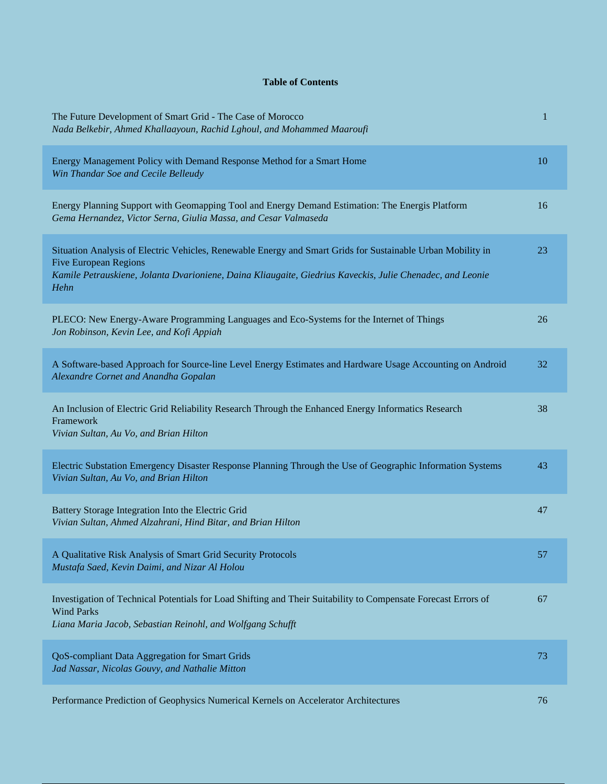## **Table of Contents**

| The Future Development of Smart Grid - The Case of Morocco<br>Nada Belkebir, Ahmed Khallaayoun, Rachid Lghoul, and Mohammed Maaroufi                                                                                                                             | 1  |
|------------------------------------------------------------------------------------------------------------------------------------------------------------------------------------------------------------------------------------------------------------------|----|
| Energy Management Policy with Demand Response Method for a Smart Home<br>Win Thandar Soe and Cecile Belleudy                                                                                                                                                     | 10 |
| Energy Planning Support with Geomapping Tool and Energy Demand Estimation: The Energis Platform<br>Gema Hernandez, Victor Serna, Giulia Massa, and Cesar Valmaseda                                                                                               | 16 |
| Situation Analysis of Electric Vehicles, Renewable Energy and Smart Grids for Sustainable Urban Mobility in<br><b>Five European Regions</b><br>Kamile Petrauskiene, Jolanta Dvarioniene, Daina Kliaugaite, Giedrius Kaveckis, Julie Chenadec, and Leonie<br>Hehn | 23 |
| PLECO: New Energy-Aware Programming Languages and Eco-Systems for the Internet of Things<br>Jon Robinson, Kevin Lee, and Kofi Appiah                                                                                                                             | 26 |
| A Software-based Approach for Source-line Level Energy Estimates and Hardware Usage Accounting on Android<br>Alexandre Cornet and Anandha Gopalan                                                                                                                | 32 |
| An Inclusion of Electric Grid Reliability Research Through the Enhanced Energy Informatics Research<br>Framework<br>Vivian Sultan, Au Vo, and Brian Hilton                                                                                                       | 38 |
| Electric Substation Emergency Disaster Response Planning Through the Use of Geographic Information Systems<br>Vivian Sultan, Au Vo, and Brian Hilton                                                                                                             | 43 |
| Battery Storage Integration Into the Electric Grid<br>Vivian Sultan, Ahmed Alzahrani, Hind Bitar, and Brian Hilton                                                                                                                                               | 47 |
| A Qualitative Risk Analysis of Smart Grid Security Protocols<br>Mustafa Saed, Kevin Daimi, and Nizar Al Holou                                                                                                                                                    | 57 |
| Investigation of Technical Potentials for Load Shifting and Their Suitability to Compensate Forecast Errors of<br><b>Wind Parks</b><br>Liana Maria Jacob, Sebastian Reinohl, and Wolfgang Schufft                                                                | 67 |
| QoS-compliant Data Aggregation for Smart Grids<br>Jad Nassar, Nicolas Gouvy, and Nathalie Mitton                                                                                                                                                                 | 73 |
| Performance Prediction of Geophysics Numerical Kernels on Accelerator Architectures                                                                                                                                                                              | 76 |